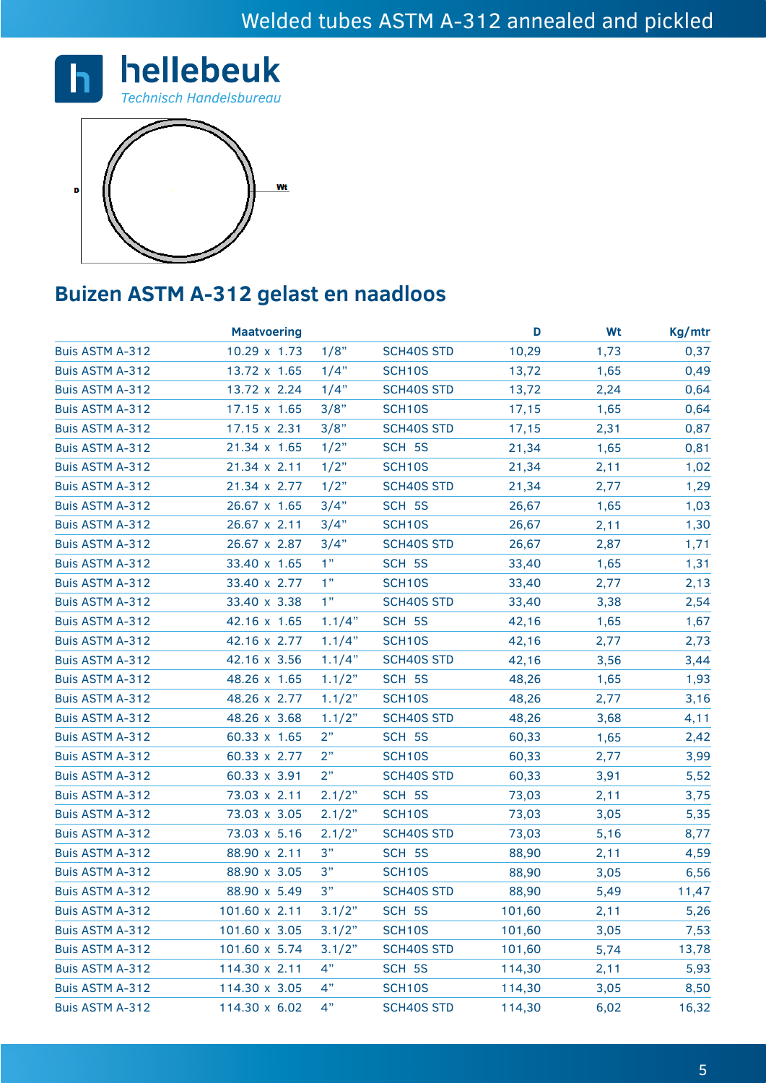



## **Buizen ASTM A-312 gelast en naadloos**

|                        | <b>Maatvoering</b> |        |                   | D      | Wt   | Kg/mtr |
|------------------------|--------------------|--------|-------------------|--------|------|--------|
| Buis ASTM A-312        | 10.29 x 1.73       | 1/8"   | <b>SCH40S STD</b> | 10,29  | 1,73 | 0,37   |
| Buis ASTM A-312        | 13.72 x 1.65       | 1/4"   | <b>SCH10S</b>     | 13,72  | 1,65 | 0,49   |
| <b>Buis ASTM A-312</b> | 13.72 x 2.24       | 1/4"   | <b>SCH40S STD</b> | 13,72  | 2,24 | 0,64   |
| <b>Buis ASTM A-312</b> | 17.15 x 1.65       | 3/8"   | SCH10S            | 17,15  | 1,65 | 0,64   |
| Buis ASTM A-312        | 17.15 x 2.31       | 3/8"   | <b>SCH40S STD</b> | 17,15  | 2,31 | 0,87   |
| Buis ASTM A-312        | 21.34 x 1.65       | 1/2"   | SCH 5S            | 21,34  | 1,65 | 0,81   |
| <b>Buis ASTM A-312</b> | 21.34 x 2.11       | 1/2"   | <b>SCH10S</b>     | 21,34  | 2,11 | 1,02   |
| <b>Buis ASTM A-312</b> | 21.34 x 2.77       | 1/2"   | <b>SCH40S STD</b> | 21,34  | 2,77 | 1,29   |
| Buis ASTM A-312        | 26.67 x 1.65       | 3/4"   | SCH 5S            | 26,67  | 1,65 | 1,03   |
| <b>Buis ASTM A-312</b> | 26.67 x 2.11       | 3/4"   | SCH10S            | 26,67  | 2,11 | 1,30   |
| <b>Buis ASTM A-312</b> | 26.67 x 2.87       | 3/4"   | <b>SCH40S STD</b> | 26,67  | 2,87 | 1,71   |
| <b>Buis ASTM A-312</b> | 33.40 x 1.65       | 1"     | SCH 5S            | 33,40  | 1,65 | 1,31   |
| <b>Buis ASTM A-312</b> | 33.40 x 2.77       | 1"     | SCH10S            | 33,40  | 2,77 | 2,13   |
| <b>Buis ASTM A-312</b> | 33.40 x 3.38       | 1"     | <b>SCH40S STD</b> | 33,40  | 3,38 | 2,54   |
| Buis ASTM A-312        | 42.16 x 1.65       | 1.1/4" | SCH 5S            | 42,16  | 1,65 | 1,67   |
| <b>Buis ASTM A-312</b> | 42.16 x 2.77       | 1.1/4" | SCH10S            | 42,16  | 2,77 | 2,73   |
| Buis ASTM A-312        | 42.16 x 3.56       | 1.1/4" | <b>SCH40S STD</b> | 42,16  | 3,56 | 3,44   |
| <b>Buis ASTM A-312</b> | 48.26 x 1.65       | 1.1/2" | SCH 5S            | 48,26  | 1,65 | 1,93   |
| <b>Buis ASTM A-312</b> | 48.26 x 2.77       | 1.1/2" | <b>SCH10S</b>     | 48,26  | 2,77 | 3,16   |
| <b>Buis ASTM A-312</b> | 48.26 x 3.68       | 1.1/2" | <b>SCH40S STD</b> | 48,26  | 3,68 | 4,11   |
| <b>Buis ASTM A-312</b> | 60.33 x 1.65       | 2"     | SCH 5S            | 60,33  | 1,65 | 2,42   |
| <b>Buis ASTM A-312</b> | 60.33 x 2.77       | 2"     | SCH10S            | 60,33  | 2,77 | 3,99   |
| <b>Buis ASTM A-312</b> | 60.33 x 3.91       | 2"     | <b>SCH40S STD</b> | 60,33  | 3,91 | 5,52   |
| <b>Buis ASTM A-312</b> | 73.03 x 2.11       | 2.1/2" | SCH 5S            | 73,03  | 2,11 | 3,75   |
| Buis ASTM A-312        | 73.03 x 3.05       | 2.1/2" | SCH10S            | 73,03  | 3,05 | 5,35   |
| <b>Buis ASTM A-312</b> | 73.03 x 5.16       | 2.1/2" | <b>SCH40S STD</b> | 73,03  | 5,16 | 8,77   |
| <b>Buis ASTM A-312</b> | 88.90 x 2.11       | 3"     | SCH 5S            | 88,90  | 2,11 | 4,59   |
| Buis ASTM A-312        | 88.90 x 3.05       | 3"     | <b>SCH10S</b>     | 88,90  | 3,05 | 6,56   |
| <b>Buis ASTM A-312</b> | 88.90 x 5.49       | 3"     | <b>SCH40S STD</b> | 88,90  | 5,49 | 11,47  |
| <b>Buis ASTM A-312</b> | 101.60 x 2.11      | 3.1/2" | SCH 5S            | 101,60 | 2,11 | 5,26   |
| Buis ASTM A-312        | 101.60 x 3.05      | 3.1/2" | SCH10S            | 101,60 | 3,05 | 7,53   |
| <b>Buis ASTM A-312</b> | 101.60 x 5.74      | 3.1/2" | <b>SCH40S STD</b> | 101,60 | 5,74 | 13,78  |
| <b>Buis ASTM A-312</b> | 114.30 x 2.11      | 4"     | SCH 5S            | 114,30 | 2,11 | 5,93   |
| <b>Buis ASTM A-312</b> | 114.30 x 3.05      | 4"     | SCH10S            | 114,30 | 3,05 | 8,50   |
| <b>Buis ASTM A-312</b> | 114.30 x 6.02      | 4"     | <b>SCH40S STD</b> | 114,30 | 6,02 | 16,32  |